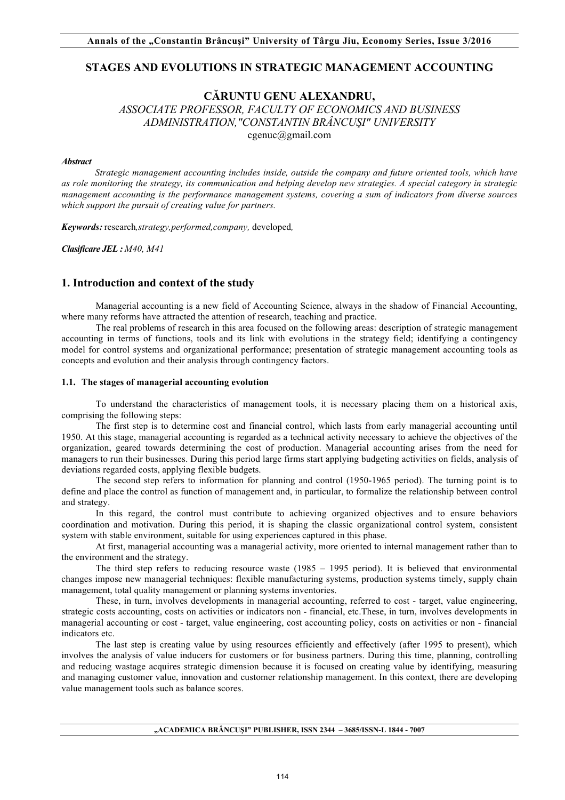# **STAGES AND EVOLUTIONS IN STRATEGIC MANAGEMENT ACCOUNTING**

# **CĂRUNTU GENU ALEXANDRU,**  *ASSOCIATE PROFESSOR, FACULTY OF ECONOMICS AND BUSINESS ADMINISTRATION,"CONSTANTIN BRÂNCUŞI" UNIVERSITY* cgenuc@gmail.com

#### *Abstract*

*Strategic management accounting includes inside, outside the company and future oriented tools, which have as role monitoring the strategy, its communication and helping develop new strategies. A special category in strategic management accounting is the performance management systems, covering a sum of indicators from diverse sources which support the pursuit of creating value for partners.*

*Keywords:* research*,strategy,performed,company,* developed*,* 

*Clasificare JEL : M40, M41*

# **1. Introduction and context of the study**

Managerial accounting is a new field of Accounting Science, always in the shadow of Financial Accounting, where many reforms have attracted the attention of research, teaching and practice.

The real problems of research in this area focused on the following areas: description of strategic management accounting in terms of functions, tools and its link with evolutions in the strategy field; identifying a contingency model for control systems and organizational performance; presentation of strategic management accounting tools as concepts and evolution and their analysis through contingency factors.

### **1.1. The stages of managerial accounting evolution**

To understand the characteristics of management tools, it is necessary placing them on a historical axis, comprising the following steps:

The first step is to determine cost and financial control, which lasts from early managerial accounting until 1950. At this stage, managerial accounting is regarded as a technical activity necessary to achieve the objectives of the organization, geared towards determining the cost of production. Managerial accounting arises from the need for managers to run their businesses. During this period large firms start applying budgeting activities on fields, analysis of deviations regarded costs, applying flexible budgets.

The second step refers to information for planning and control (1950-1965 period). The turning point is to define and place the control as function of management and, in particular, to formalize the relationship between control and strategy.

In this regard, the control must contribute to achieving organized objectives and to ensure behaviors coordination and motivation. During this period, it is shaping the classic organizational control system, consistent system with stable environment, suitable for using experiences captured in this phase.

At first, managerial accounting was a managerial activity, more oriented to internal management rather than to the environment and the strategy.

The third step refers to reducing resource waste  $(1985 - 1995$  period). It is believed that environmental changes impose new managerial techniques: flexible manufacturing systems, production systems timely, supply chain management, total quality management or planning systems inventories.

These, in turn, involves developments in managerial accounting, referred to cost - target, value engineering, strategic costs accounting, costs on activities or indicators non - financial, etc.These, in turn, involves developments in managerial accounting or cost - target, value engineering, cost accounting policy, costs on activities or non - financial indicators etc.

The last step is creating value by using resources efficiently and effectively (after 1995 to present), which involves the analysis of value inducers for customers or for business partners. During this time, planning, controlling and reducing wastage acquires strategic dimension because it is focused on creating value by identifying, measuring and managing customer value, innovation and customer relationship management. In this context, there are developing value management tools such as balance scores.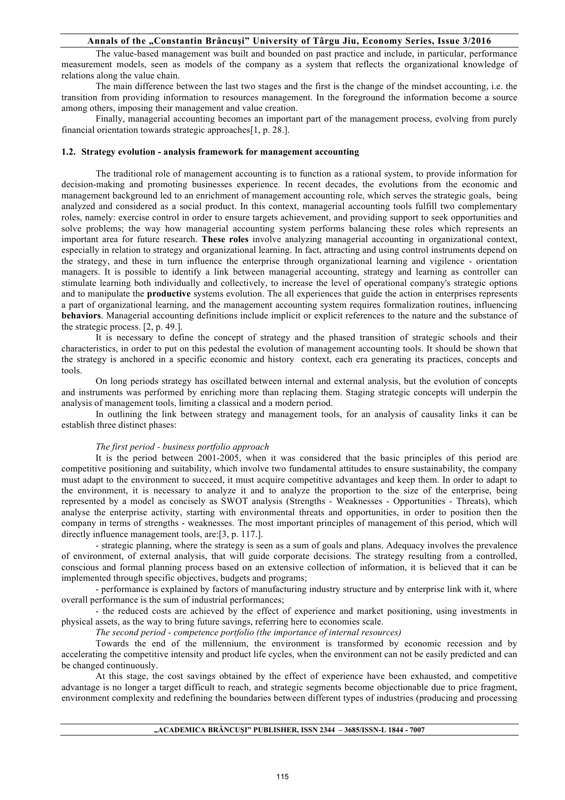## **Annals of the "Constantin Brâncuşi" University of Târgu Jiu, Economy Series, Issue 3/2016**

The value-based management was built and bounded on past practice and include, in particular, performance measurement models, seen as models of the company as a system that reflects the organizational knowledge of relations along the value chain.

The main difference between the last two stages and the first is the change of the mindset accounting, i.e. the transition from providing information to resources management. In the foreground the information become a source among others, imposing their management and value creation.

Finally, managerial accounting becomes an important part of the management process, evolving from purely financial orientation towards strategic approaches[1, p. 28.].

### **1.2. Strategy evolution - analysis framework for management accounting**

The traditional role of management accounting is to function as a rational system, to provide information for decision-making and promoting businesses experience. In recent decades, the evolutions from the economic and management background led to an enrichment of management accounting role, which serves the strategic goals, being analyzed and considered as a social product. In this context, managerial accounting tools fulfill two complementary roles, namely: exercise control in order to ensure targets achievement, and providing support to seek opportunities and solve problems; the way how managerial accounting system performs balancing these roles which represents an important area for future research. **These roles** involve analyzing managerial accounting in organizational context, especially in relation to strategy and organizational learning. In fact, attracting and using control instruments depend on the strategy, and these in turn influence the enterprise through organizational learning and vigilence - orientation managers. It is possible to identify a link between managerial accounting, strategy and learning as controller can stimulate learning both individually and collectively, to increase the level of operational company's strategic options and to manipulate the **productive** systems evolution. The all experiences that guide the action in enterprises represents a part of organizational learning, and the management accounting system requires formalization routines, influencing **behaviors**. Managerial accounting definitions include implicit or explicit references to the nature and the substance of the strategic process. [2, p. 49.].

It is necessary to define the concept of strategy and the phased transition of strategic schools and their characteristics, in order to put on this pedestal the evolution of management accounting tools. It should be shown that the strategy is anchored in a specific economic and history context, each era generating its practices, concepts and tools.

On long periods strategy has oscillated between internal and external analysis, but the evolution of concepts and instruments was performed by enriching more than replacing them. Staging strategic concepts will underpin the analysis of management tools, limiting a classical and a modern period.

In outlining the link between strategy and management tools, for an analysis of causality links it can be establish three distinct phases:

#### *The first period - business portfolio approach*

It is the period between 2001-2005, when it was considered that the basic principles of this period are competitive positioning and suitability, which involve two fundamental attitudes to ensure sustainability, the company must adapt to the environment to succeed, it must acquire competitive advantages and keep them. In order to adapt to the environment, it is necessary to analyze it and to analyze the proportion to the size of the enterprise, being represented by a model as concisely as SWOT analysis (Strengths - Weaknesses - Opportunities - Threats), which analyse the enterprise activity, starting with environmental threats and opportunities, in order to position then the company in terms of strengths - weaknesses. The most important principles of management of this period, which will directly influence management tools, are: [3, p. 117.].

- strategic planning, where the strategy is seen as a sum of goals and plans. Adequacy involves the prevalence of environment, of external analysis, that will guide corporate decisions. The strategy resulting from a controlled, conscious and formal planning process based on an extensive collection of information, it is believed that it can be implemented through specific objectives, budgets and programs;

- performance is explained by factors of manufacturing industry structure and by enterprise link with it, where overall performance is the sum of industrial performances;

- the reduced costs are achieved by the effect of experience and market positioning, using investments in physical assets, as the way to bring future savings, referring here to economies scale.

*The second period - competence portfolio (the importance of internal resources)*

Towards the end of the millennium, the environment is transformed by economic recession and by accelerating the competitive intensity and product life cycles, when the environment can not be easily predicted and can be changed continuously.

At this stage, the cost savings obtained by the effect of experience have been exhausted, and competitive advantage is no longer a target difficult to reach, and strategic segments become objectionable due to price fragment, environment complexity and redefining the boundaries between different types of industries (producing and processing

#### **"ACADEMICA BRÂNCUŞI" PUBLISHER, ISSN 2344 – 3685/ISSN-L 1844 - 7007**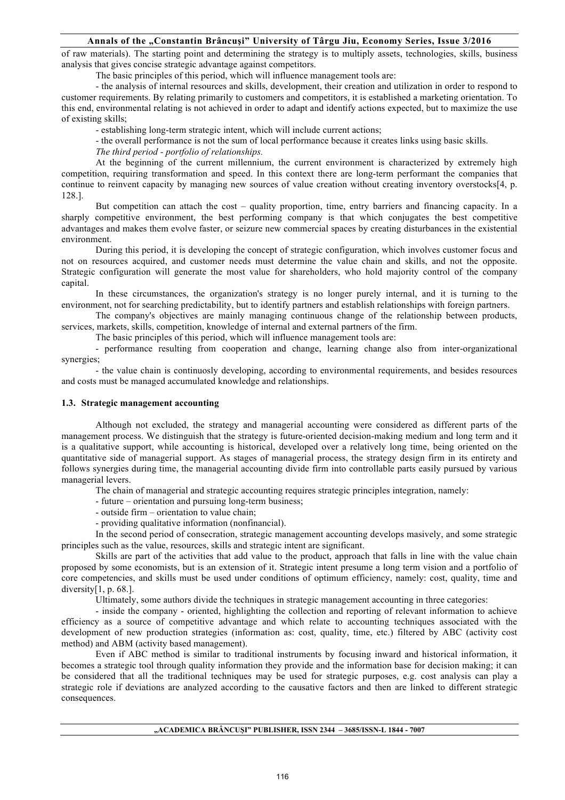### **Annals of the "Constantin Brâncuşi" University of Târgu Jiu, Economy Series, Issue 3/2016**

of raw materials). The starting point and determining the strategy is to multiply assets, technologies, skills, business analysis that gives concise strategic advantage against competitors.

The basic principles of this period, which will influence management tools are:

- the analysis of internal resources and skills, development, their creation and utilization in order to respond to customer requirements. By relating primarily to customers and competitors, it is established a marketing orientation. To this end, environmental relating is not achieved in order to adapt and identify actions expected, but to maximize the use of existing skills;

- establishing long-term strategic intent, which will include current actions;

- the overall performance is not the sum of local performance because it creates links using basic skills.

*The third period - portfolio of relationships.*

At the beginning of the current millennium, the current environment is characterized by extremely high competition, requiring transformation and speed. In this context there are long-term performant the companies that continue to reinvent capacity by managing new sources of value creation without creating inventory overstocks[4, p. 128.].

But competition can attach the cost – quality proportion, time, entry barriers and financing capacity. In a sharply competitive environment, the best performing company is that which conjugates the best competitive advantages and makes them evolve faster, or seizure new commercial spaces by creating disturbances in the existential environment.

During this period, it is developing the concept of strategic configuration, which involves customer focus and not on resources acquired, and customer needs must determine the value chain and skills, and not the opposite. Strategic configuration will generate the most value for shareholders, who hold majority control of the company capital.

In these circumstances, the organization's strategy is no longer purely internal, and it is turning to the environment, not for searching predictability, but to identify partners and establish relationships with foreign partners.

The company's objectives are mainly managing continuous change of the relationship between products, services, markets, skills, competition, knowledge of internal and external partners of the firm.

The basic principles of this period, which will influence management tools are:

- performance resulting from cooperation and change, learning change also from inter-organizational synergies;

- the value chain is continuosly developing, according to environmental requirements, and besides resources and costs must be managed accumulated knowledge and relationships.

### **1.3. Strategic management accounting**

Although not excluded, the strategy and managerial accounting were considered as different parts of the management process. We distinguish that the strategy is future-oriented decision-making medium and long term and it is a qualitative support, while accounting is historical, developed over a relatively long time, being oriented on the quantitative side of managerial support. As stages of managerial process, the strategy design firm in its entirety and follows synergies during time, the managerial accounting divide firm into controllable parts easily pursued by various managerial levers.

The chain of managerial and strategic accounting requires strategic principles integration, namely:

- future – orientation and pursuing long-term business;

- outside firm – orientation to value chain;

- providing qualitative information (nonfinancial).

In the second period of consecration, strategic management accounting develops masively, and some strategic principles such as the value, resources, skills and strategic intent are significant.

Skills are part of the activities that add value to the product, approach that falls in line with the value chain proposed by some economists, but is an extension of it. Strategic intent presume a long term vision and a portfolio of core competencies, and skills must be used under conditions of optimum efficiency, namely: cost, quality, time and diversity<sup>[1, p. 68.]</sup>.

Ultimately, some authors divide the techniques in strategic management accounting in three categories:

- inside the company - oriented, highlighting the collection and reporting of relevant information to achieve efficiency as a source of competitive advantage and which relate to accounting techniques associated with the development of new production strategies (information as: cost, quality, time, etc.) filtered by ABC (activity cost method) and ABM (activity based management).

Even if ABC method is similar to traditional instruments by focusing inward and historical information, it becomes a strategic tool through quality information they provide and the information base for decision making; it can be considered that all the traditional techniques may be used for strategic purposes, e.g. cost analysis can play a strategic role if deviations are analyzed according to the causative factors and then are linked to different strategic consequences.